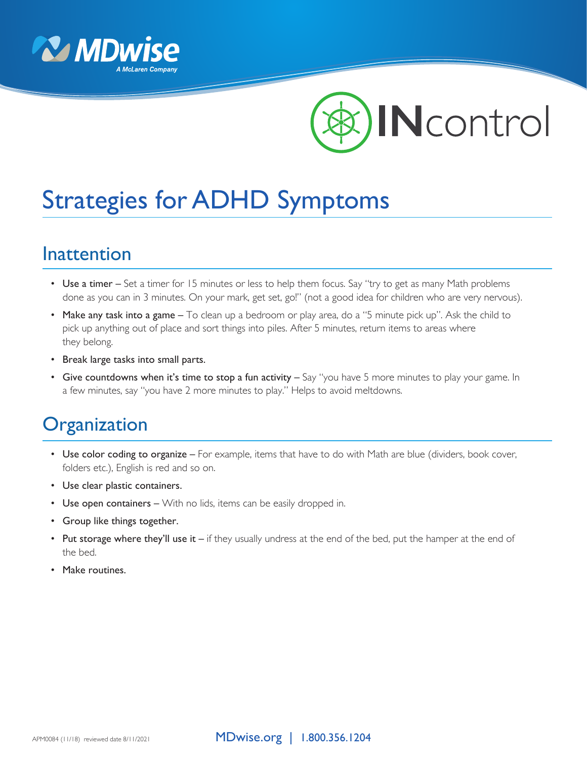



# Strategies for ADHD Symptoms

#### Inattention

- Use a timer Set a timer for 15 minutes or less to help them focus. Say "try to get as many Math problems done as you can in 3 minutes. On your mark, get set, go!" (not a good idea for children who are very nervous).
- Make any task into a game To clean up a bedroom or play area, do a "5 minute pick up". Ask the child to pick up anything out of place and sort things into piles. After 5 minutes, return items to areas where they belong.
- Break large tasks into small parts.
- Give countdowns when it's time to stop a fun activity Say "you have 5 more minutes to play your game. In a few minutes, say "you have 2 more minutes to play." Helps to avoid meltdowns.

### **Organization**

- Use color coding to organize For example, items that have to do with Math are blue (dividers, book cover, folders etc.), English is red and so on.
- Use clear plastic containers.
- Use open containers With no lids, items can be easily dropped in.
- Group like things together.
- Put storage where they'll use it  $-$  if they usually undress at the end of the bed, put the hamper at the end of the bed.
- Make routines.